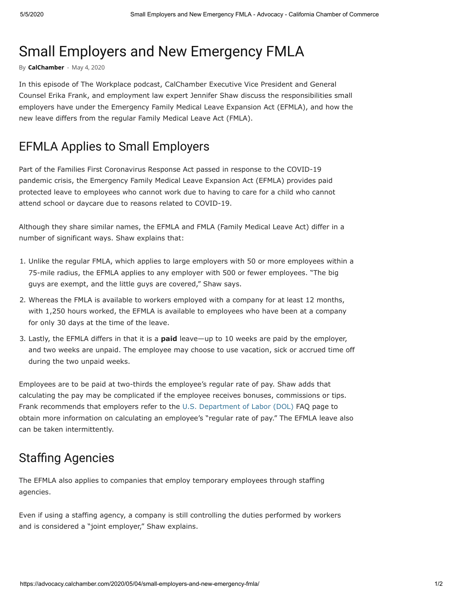# Small Employers and New Emergency FMLA

By **[CalChamber](https://advocacy.calchamber.com/author/calchamber/)** - May 4, 2020

In this episode of The Workplace podcast, CalChamber Executive Vice President and General Counsel Erika Frank, and employment law expert Jennifer Shaw discuss the responsibilities small employers have under the Emergency Family Medical Leave Expansion Act (EFMLA), and how the new leave differs from the regular Family Medical Leave Act (FMLA).

## EFMLA Applies to Small Employers

Part of the Families First Coronavirus Response Act passed in response to the COVID-19 pandemic crisis, the Emergency Family Medical Leave Expansion Act (EFMLA) provides paid protected leave to employees who cannot work due to having to care for a child who cannot attend school or daycare due to reasons related to COVID-19.

Although they share similar names, the EFMLA and FMLA (Family Medical Leave Act) differ in a number of significant ways. Shaw explains that:

- 1. Unlike the regular FMLA, which applies to large employers with 50 or more employees within a 75-mile radius, the EFMLA applies to any employer with 500 or fewer employees. "The big guys are exempt, and the little guys are covered," Shaw says.
- 2. Whereas the FMLA is available to workers employed with a company for at least 12 months, with 1,250 hours worked, the EFMLA is available to employees who have been at a company for only 30 days at the time of the leave.
- 3. Lastly, the EFMLA differs in that it is a **paid** leave—up to 10 weeks are paid by the employer, and two weeks are unpaid. The employee may choose to use vacation, sick or accrued time off during the two unpaid weeks.

Employees are to be paid at two-thirds the employee's regular rate of pay. Shaw adds that calculating the pay may be complicated if the employee receives bonuses, commissions or tips. Frank recommends that employers refer to the [U.S. Department of Labor \(DOL\)](https://www.dol.gov/agencies/whd/pandemic/ffcra-questions#8) FAQ page to obtain more information on calculating an employee's "regular rate of pay." The EFMLA leave also can be taken intermittently.

# **Staffing Agencies**

The EFMLA also applies to companies that employ temporary employees through staffing agencies.

Even if using a staffing agency, a company is still controlling the duties performed by workers and is considered a "joint employer," Shaw explains.